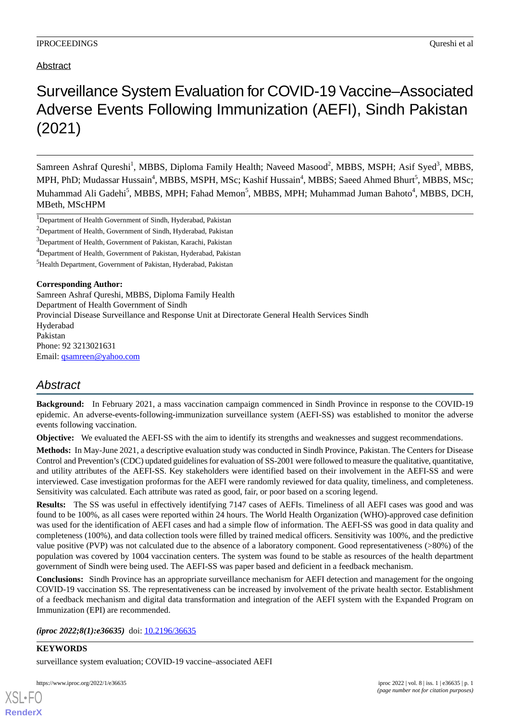## Abstract

# Surveillance System Evaluation for COVID-19 Vaccine–Associated Adverse Events Following Immunization (AEFI), Sindh Pakistan (2021)

Samreen Ashraf Qureshi<sup>1</sup>, MBBS, Diploma Family Health; Naveed Masood<sup>2</sup>, MBBS, MSPH; Asif Syed<sup>3</sup>, MBBS, MPH, PhD; Mudassar Hussain<sup>4</sup>, MBBS, MSPH, MSc; Kashif Hussain<sup>4</sup>, MBBS; Saeed Ahmed Bhurt<sup>5</sup>, MBBS, MSc; Muhammad Ali Gadehi<sup>5</sup>, MBBS, MPH; Fahad Memon<sup>5</sup>, MBBS, MPH; Muhammad Juman Bahoto<sup>4</sup>, MBBS, DCH, MBeth, MScHPM

<sup>1</sup>Department of Health Government of Sindh, Hyderabad, Pakistan

<sup>2</sup>Department of Health, Government of Sindh, Hyderabad, Pakistan

<sup>3</sup>Department of Health, Government of Pakistan, Karachi, Pakistan

<sup>4</sup>Department of Health, Government of Pakistan, Hyderabad, Pakistan

<sup>5</sup>Health Department, Government of Pakistan, Hyderabad, Pakistan

**Corresponding Author:** Samreen Ashraf Qureshi, MBBS, Diploma Family Health Department of Health Government of Sindh Provincial Disease Surveillance and Response Unit at Directorate General Health Services Sindh Hyderabad Pakistan Phone: 92 3213021631 Email: [qsamreen@yahoo.com](mailto:qsamreen@yahoo.com)

# *Abstract*

**Background:** In February 2021, a mass vaccination campaign commenced in Sindh Province in response to the COVID-19 epidemic. An adverse-events-following-immunization surveillance system (AEFI-SS) was established to monitor the adverse events following vaccination.

**Objective:** We evaluated the AEFI-SS with the aim to identify its strengths and weaknesses and suggest recommendations.

**Methods:** In May-June 2021, a descriptive evaluation study was conducted in Sindh Province, Pakistan. The Centers for Disease Control and Prevention's (CDC) updated guidelines for evaluation of SS-2001 were followed to measure the qualitative, quantitative, and utility attributes of the AEFI-SS. Key stakeholders were identified based on their involvement in the AEFI-SS and were interviewed. Case investigation proformas for the AEFI were randomly reviewed for data quality, timeliness, and completeness. Sensitivity was calculated. Each attribute was rated as good, fair, or poor based on a scoring legend.

**Results:** The SS was useful in effectively identifying 7147 cases of AEFIs. Timeliness of all AEFI cases was good and was found to be 100%, as all cases were reported within 24 hours. The World Health Organization (WHO)-approved case definition was used for the identification of AEFI cases and had a simple flow of information. The AEFI-SS was good in data quality and completeness (100%), and data collection tools were filled by trained medical officers. Sensitivity was 100%, and the predictive value positive (PVP) was not calculated due to the absence of a laboratory component. Good representativeness (>80%) of the population was covered by 1004 vaccination centers. The system was found to be stable as resources of the health department government of Sindh were being used. The AEFI-SS was paper based and deficient in a feedback mechanism.

**Conclusions:** Sindh Province has an appropriate surveillance mechanism for AEFI detection and management for the ongoing COVID-19 vaccination SS. The representativeness can be increased by involvement of the private health sector. Establishment of a feedback mechanism and digital data transformation and integration of the AEFI system with the Expanded Program on Immunization (EPI) are recommended.

*(iproc 2022;8(1):e36635)* doi: [10.2196/36635](http://dx.doi.org/10.2196/36635)

### **KEYWORDS**

[XSL](http://www.w3.org/Style/XSL)•FO **[RenderX](http://www.renderx.com/)**

surveillance system evaluation; COVID-19 vaccine–associated AEFI